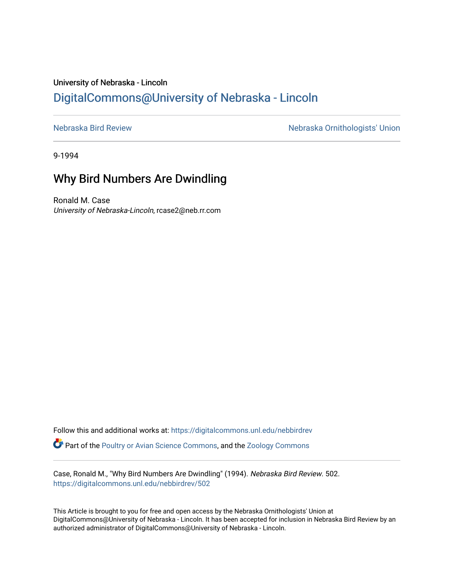## University of Nebraska - Lincoln [DigitalCommons@University of Nebraska - Lincoln](https://digitalcommons.unl.edu/)

[Nebraska Bird Review](https://digitalcommons.unl.edu/nebbirdrev) [Nebraska Ornithologists' Union](https://digitalcommons.unl.edu/nebornithologists) 

9-1994

## Why Bird Numbers Are Dwindling

Ronald M. Case University of Nebraska-Lincoln, rcase2@neb.rr.com

Follow this and additional works at: [https://digitalcommons.unl.edu/nebbirdrev](https://digitalcommons.unl.edu/nebbirdrev?utm_source=digitalcommons.unl.edu%2Fnebbirdrev%2F502&utm_medium=PDF&utm_campaign=PDFCoverPages) **C** Part of the [Poultry or Avian Science Commons](http://network.bepress.com/hgg/discipline/80?utm_source=digitalcommons.unl.edu%2Fnebbirdrev%2F502&utm_medium=PDF&utm_campaign=PDFCoverPages), and the Zoology Commons

Case, Ronald M., "Why Bird Numbers Are Dwindling" (1994). Nebraska Bird Review. 502. [https://digitalcommons.unl.edu/nebbirdrev/502](https://digitalcommons.unl.edu/nebbirdrev/502?utm_source=digitalcommons.unl.edu%2Fnebbirdrev%2F502&utm_medium=PDF&utm_campaign=PDFCoverPages)

This Article is brought to you for free and open access by the Nebraska Ornithologists' Union at DigitalCommons@University of Nebraska - Lincoln. It has been accepted for inclusion in Nebraska Bird Review by an authorized administrator of DigitalCommons@University of Nebraska - Lincoln.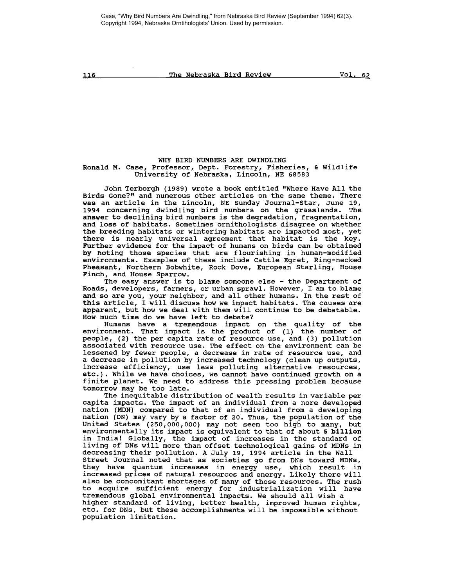Case, "Why Bird Numbers Are Dwindling," from Nebraska Bird Review (September 1994) 62(3). Copyright 1994, Nebraska Orntihologists' Union. Used by permission.

116 The Nebraska Bird Review Vol. 62

WHY BIRD NUMBERS ARE DWINDLING Ronald M. Case, Professor, Dept. Forestry, Fisheries, & wildlife University of Nebraska, Lincoln, NE 68583

John Terborgh (1989) wrote <sup>a</sup> book entitled "Where Have All the Birds Gone?" and numerous other articles on the same theme. There was an article in the Lincoln, NE Sunday Journal-Star, June 19, 1994 concerning dwindling bird numbers on the grasslands. The answer to declining bird numbers is the degradation, fragmentation, and loss of habitats. Sometimes ornithologists disagree on whether the breeding habitats or wintering habitats are impacted most, yet there is nearly universal agreement that habitat is the key. Further evidence for the impact of humans on birds can be obtained by noting those species that are flourishing in human-modified environments. Examples of these include Cattle Egret, Ring-necked Pheasant, Northern Bobwhite, Rock Dove, European Starling, House Finch, and House Sparrow.

The easy answer is to blame someone else - the Department of Roads, developers, farmers, or urban sprawl. However, <sup>I</sup> am to blame and so are you, your neighbor, and all other humans. In the rest of this article, <sup>I</sup> will discuss how we impact habitats. The causes are apparent, but how we deal with them will continue to be debatable. How much time do we have left to debate?

Humans have a tremendous impact on the quality of the environment. That impact is the product of (1) the number of people, (2) the per capita rate of resource use, and (3) pollution associated with resource use. The effect on the environment can be lessened by fewer people, a decrease in rate of resource use, and lessened by fewer people, <sup>a</sup> decrease in rate of resource use, and <sup>a</sup> decrease in pollution by increased technology (clean up outputs, increase efficiency, use less polluting alternative resources, etc.). While we have choices, we cannot have continued growth on <sup>a</sup> finite planet. We need to address this pressing problem because tomorrow may be too late.

The inequitable distribution of wealth results in variable per capita impacts. The impact of an individual from a nore developed nation (MDN) compared to that of an individual from <sup>a</sup> developing nation (DN) may vary by a factor of 20. Thus, the population of the united States (250,000,000) may not seem too high to many, but environmentally its impact is equivalent to that of about <sup>5</sup> billion in India! Globally, the impact of increases in the standard of In the beaming of DNs will more than offset technological gains of MDNs in decreasing their pollution. <sup>A</sup> July 19, 1994 article in the Wall Street Journal noted that as societies go from DNs toward MDNs, they have quantum increases in energy use, which result in increased prices of natural resources and energy. Likely there will also be concomitant shortages of many of those resources. The rush also as concomitant energy of many of those resources: The rush tremendous global environmental impacts. We should all wish <sup>a</sup> higher standard of living, better health, improved human rights, etc. for DNs, but these accomplishments will be impossible without population limitation.